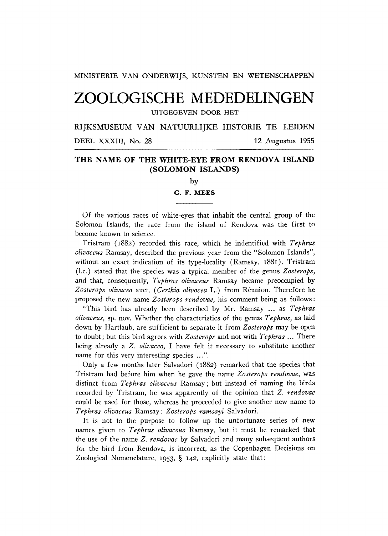MINISTERIE VAN ONDERWIJS, KUNSTEN EN WETENSCHAPPEN

# **ZOOLOGISCHE MEDEDELINGEN**

**UITGEGEVEN DOOR HET** 

RIJKSMUSEUM VAN NATUURLIJKE HISTORIE TE LEIDEN

**DEEL** XXXIII , **No.** 28 12 Augustus 1955

# **T H E NAM E O F TH E WHITE-EY E FRO M RENDOV A ISLAN D (SOLOMO N ISLANDS)**

by

## **G. F. MEES**

Of the various races of white-eyes that inhabit the central group of the Solomon Islands, the race from the island of Rendova was the first to become known to science.

Tristram **(1882)** recorded this race, which he indentified with *Tephras olivaceus* Ramsay, described the previous year from the "Solomon Islands", without an exact indication of its type-locality (Ramsay, **1881).** Tristram (l.c.) stated that the species was a typical member of the genus *Zosterops,*  and that, consequently, *Tephras olivaceus* Ramsay became preoccupied by *Zosterops olivacea* auct. *(Certhia olivacea* L.) from Réunion. Therefore he proposed the new name *Zosterops rendovae,* his comment being as follows :

"This bird has already been described by Mr. Ramsay ... as *Tephras olivaceus,* sp. nov. Whether the characteristics of the genus *Tephras,* as laid down by Hartlaub, are sufficient to separate it from *Zosterops* may be open to doubt ; but this bird agrees with *Zosterops* and not with *Tephras* ... There being already a *Z. olivacea,* I have felt it necessary to substitute another name for this very interesting species ...".

Only a few months later Salvadori **(1882)** remarked that the species that Tristram had before him when he gave the name *Zosterops rendovae,* was distinct from *Tephras olivaceus* Ramsay; but instead of naming the birds recorded by Tristram, he was apparently of the opinion that *Z. rendovae*  could be used for those, whereas he proceeded to give another new name to *Tephras olivaceus* Ramsay : *Zosterops ramsayi* Salvadori.

It is not to the purpose to follow up the unfortunate series of new names given to *Tephras olivaceus* Ramsay, but it must be remarked that the use of the name *Z. rendovae* by Salvadori and many subsequent authors for the bird from Rendova, is incorrect, as the Copenhagen Decisions on Zoological Nomenclature, **1953, § 142,** explicitly state that: